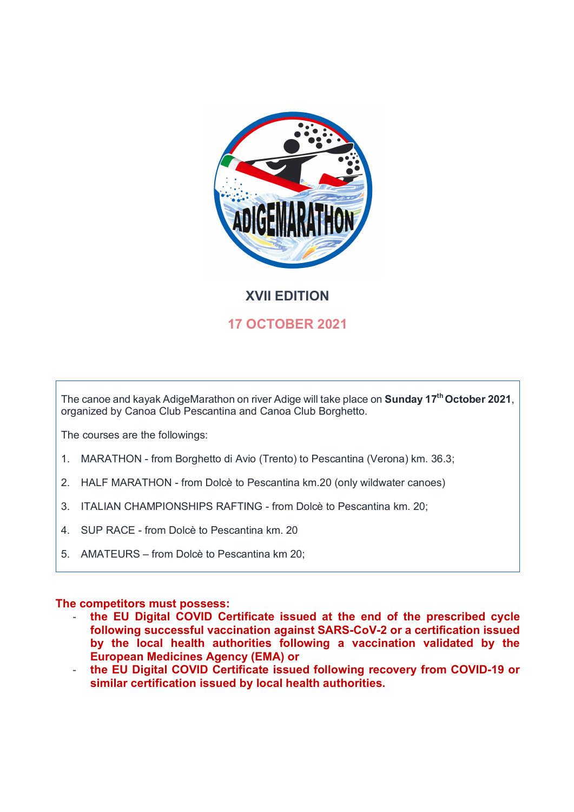

# **XVII EDITION**

# **17 OCTOBER 2021**

The canoe and kayak AdigeMarathon on river Adige will take place on **Sunday 17<sup>th</sup> October 2021**, organized by Canoa Club Pescantina and Canoa Club Borghetto.

The courses are the followings:

- 1. MARATHON from Borghetto di Avio (Trento) to Pescantina (Verona) km. 36.3;
- 2. HALF MARATHON from Dolcè to Pescantina km.20 (only wildwater canoes)
- 3. ITALIAN CHAMPIONSHIPS RAFTING from Dolcè to Pescantina km. 20;
- 4. SUP RACE from Dolcè to Pescantina km. 20
- 5. AMATEURS from Dolcè to Pescantina km 20;

# **The competitors must possess:**

- **the EU Digital COVID Certificate issued at the end of the prescribed cycle following successful vaccination against SARS-CoV-2 or a certification issued by the local health authorities following a vaccination validated by the European Medicines Agency (EMA) or**
- **the EU Digital COVID Certificate issued following recovery from COVID-19 or similar certification issued by local health authorities.**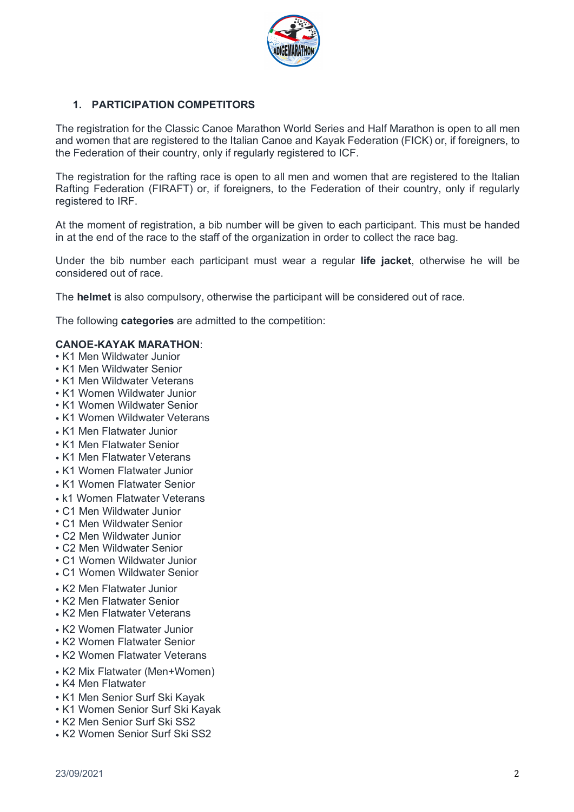

# **1. PARTICIPATION COMPETITORS**

The registration for the Classic Canoe Marathon World Series and Half Marathon is open to all men and women that are registered to the Italian Canoe and Kayak Federation (FICK) or, if foreigners, to the Federation of their country, only if regularly registered to ICF.

The registration for the rafting race is open to all men and women that are registered to the Italian Rafting Federation (FIRAFT) or, if foreigners, to the Federation of their country, only if regularly registered to IRF.

At the moment of registration, a bib number will be given to each participant. This must be handed in at the end of the race to the staff of the organization in order to collect the race bag.

Under the bib number each participant must wear a regular **life jacket**, otherwise he will be considered out of race.

The **helmet** is also compulsory, otherwise the participant will be considered out of race.

The following **categories** are admitted to the competition:

## **CANOE-KAYAK MARATHON**:

- K1 Men Wildwater Junior
- K1 Men Wildwater Senior
- K1 Men Wildwater Veterans
- K1 Women Wildwater Junior
- K1 Women Wildwater Senior
- K1 Women Wildwater Veterans
- K1 Men Flatwater Junior
- K1 Men Flatwater Senior
- K1 Men Flatwater Veterans
- K1 Women Flatwater Junior
- K1 Women Flatwater Senior
- k1 Women Flatwater Veterans
- C1 Men Wildwater Junior
- C1 Men Wildwater Senior
- C2 Men Wildwater Junior
- C2 Men Wildwater Senior
- C1 Women Wildwater Junior
- C1 Women Wildwater Senior
- K2 Men Flatwater Junior
- K2 Men Flatwater Senior
- K2 Men Flatwater Veterans
- K2 Women Flatwater Junior
- K2 Women Flatwater Senior
- K2 Women Flatwater Veterans
- K2 Mix Flatwater (Men+Women)
- K4 Men Flatwater
- K1 Men Senior Surf Ski Kayak
- K1 Women Senior Surf Ski Kayak
- K2 Men Senior Surf Ski SS2
- K2 Women Senior Surf Ski SS2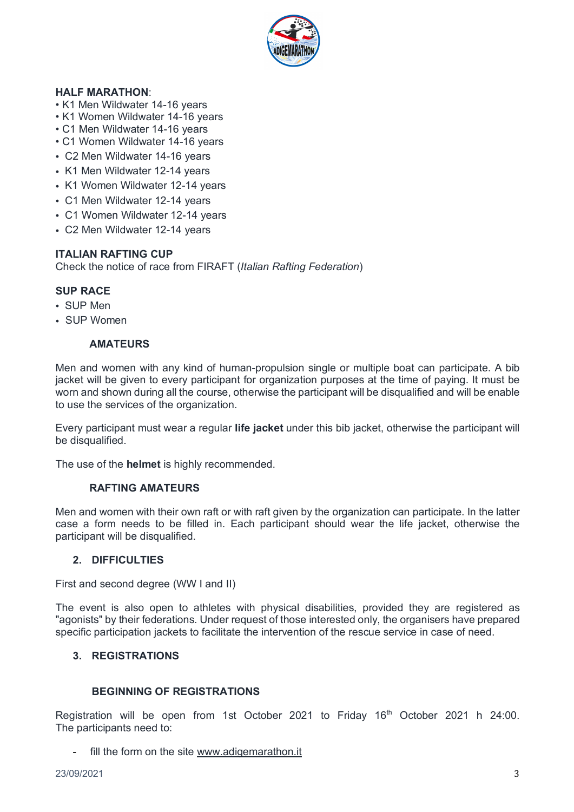

# **HALF MARATHON**:

- K1 Men Wildwater 14-16 years
- K1 Women Wildwater 14-16 years
- C1 Men Wildwater 14-16 years
- C1 Women Wildwater 14-16 years
- C2 Men Wildwater 14-16 years
- K1 Men Wildwater 12-14 years
- K1 Women Wildwater 12-14 years
- C1 Men Wildwater 12-14 years
- C1 Women Wildwater 12-14 years
- C2 Men Wildwater 12-14 years

## **ITALIAN RAFTING CUP**

Check the notice of race from FIRAFT (*Italian Rafting Federation*)

# **SUP RACE**

- ! SUP Men
- . SUP Women

## **AMATEURS**

Men and women with any kind of human-propulsion single or multiple boat can participate. A bib jacket will be given to every participant for organization purposes at the time of paying. It must be worn and shown during all the course, otherwise the participant will be disqualified and will be enable to use the services of the organization.

Every participant must wear a regular **life jacket** under this bib jacket, otherwise the participant will be disqualified.

The use of the **helmet** is highly recommended.

#### **RAFTING AMATEURS**

Men and women with their own raft or with raft given by the organization can participate. In the latter case a form needs to be filled in. Each participant should wear the life jacket, otherwise the participant will be disqualified.

# **2. DIFFICULTIES**

First and second degree (WW I and II)

The event is also open to athletes with physical disabilities, provided they are registered as "agonists" by their federations. Under request of those interested only, the organisers have prepared specific participation jackets to facilitate the intervention of the rescue service in case of need.

## **3. REGISTRATIONS**

## **BEGINNING OF REGISTRATIONS**

Registration will be open from 1st October 2021 to Friday 16<sup>th</sup> October 2021 h 24:00. The participants need to:

- fill the form on the site www.adigemarathon.it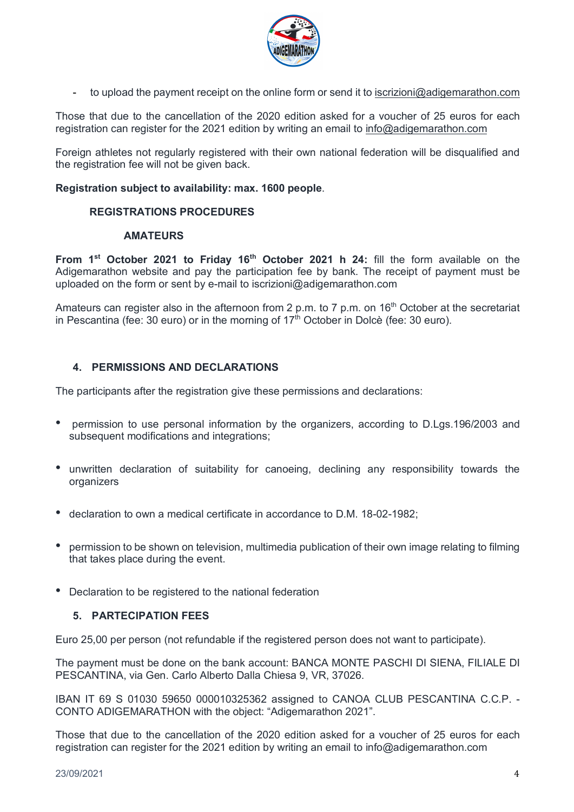

- to upload the payment receipt on the online form or send it to iscrizioni@adigemarathon.com

Those that due to the cancellation of the 2020 edition asked for a voucher of 25 euros for each registration can register for the 2021 edition by writing an email to info@adigemarathon.com

Foreign athletes not regularly registered with their own national federation will be disqualified and the registration fee will not be given back.

## **Registration subject to availability: max. 1600 people**.

## **REGISTRATIONS PROCEDURES**

#### **AMATEURS**

**From 1st October 2021 to Friday 16th October 2021 h 24:** fill the form available on the Adigemarathon website and pay the participation fee by bank. The receipt of payment must be uploaded on the form or sent by e-mail to iscrizioni@adigemarathon.com

Amateurs can register also in the afternoon from 2 p.m. to 7 p.m. on  $16<sup>th</sup>$  October at the secretariat in Pescantina (fee: 30 euro) or in the morning of  $17<sup>th</sup>$  October in Dolcè (fee: 30 euro).

# **4. PERMISSIONS AND DECLARATIONS**

The participants after the registration give these permissions and declarations:

- ! permission to use personal information by the organizers, according to D.Lgs.196/2003 and subsequent modifications and integrations;
- ! unwritten declaration of suitability for canoeing, declining any responsibility towards the **organizers**
- ! declaration to own a medical certificate in accordance to D.M. 18-02-1982;
- ! permission to be shown on television, multimedia publication of their own image relating to filming that takes place during the event.
- Declaration to be registered to the national federation

# **5. PARTECIPATION FEES**

Euro 25,00 per person (not refundable if the registered person does not want to participate).

The payment must be done on the bank account: BANCA MONTE PASCHI DI SIENA, FILIALE DI PESCANTINA, via Gen. Carlo Alberto Dalla Chiesa 9, VR, 37026.

IBAN IT 69 S 01030 59650 000010325362 assigned to CANOA CLUB PESCANTINA C.C.P. - CONTO ADIGEMARATHON with the object: "Adigemarathon 2021".

Those that due to the cancellation of the 2020 edition asked for a voucher of 25 euros for each registration can register for the 2021 edition by writing an email to info@adigemarathon.com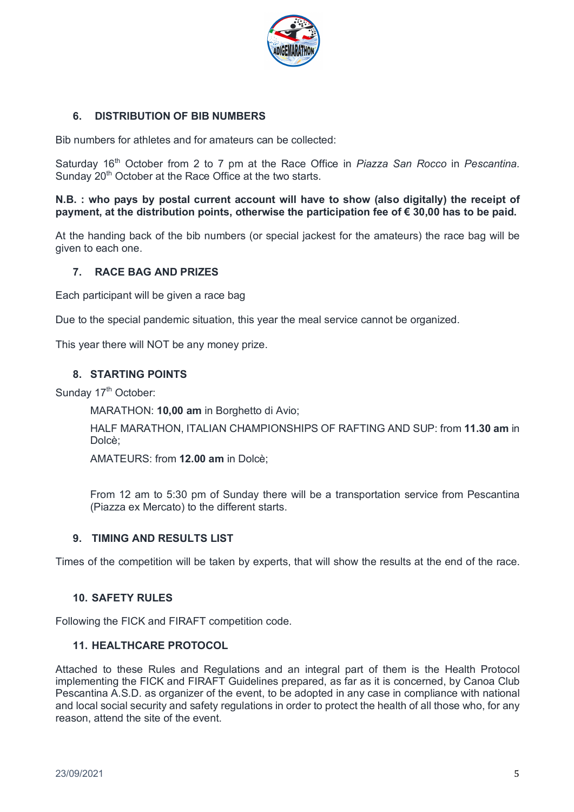

# **6. DISTRIBUTION OF BIB NUMBERS**

Bib numbers for athletes and for amateurs can be collected:

Saturday 16th October from 2 to 7 pm at the Race Office in *Piazza San Rocco* in *Pescantina.* Sunday 20<sup>th</sup> October at the Race Office at the two starts.

## **N.B. : who pays by postal current account will have to show (also digitally) the receipt of payment, at the distribution points, otherwise the participation fee of € 30,00 has to be paid.**

At the handing back of the bib numbers (or special jackest for the amateurs) the race bag will be given to each one.

# **7. RACE BAG AND PRIZES**

Each participant will be given a race bag

Due to the special pandemic situation, this year the meal service cannot be organized.

This year there will NOT be any money prize.

# **8. STARTING POINTS**

Sunday 17<sup>th</sup> October:

MARATHON: **10,00 am** in Borghetto di Avio;

HALF MARATHON, ITALIAN CHAMPIONSHIPS OF RAFTING AND SUP: from **11.30 am** in Dolcè;

AMATEURS: from **12.00 am** in Dolcè;

From 12 am to 5:30 pm of Sunday there will be a transportation service from Pescantina (Piazza ex Mercato) to the different starts.

#### **9. TIMING AND RESULTS LIST**

Times of the competition will be taken by experts, that will show the results at the end of the race.

#### **10. SAFETY RULES**

Following the FICK and FIRAFT competition code.

#### **11. HEALTHCARE PROTOCOL**

Attached to these Rules and Regulations and an integral part of them is the Health Protocol implementing the FICK and FIRAFT Guidelines prepared, as far as it is concerned, by Canoa Club Pescantina A.S.D. as organizer of the event, to be adopted in any case in compliance with national and local social security and safety regulations in order to protect the health of all those who, for any reason, attend the site of the event.